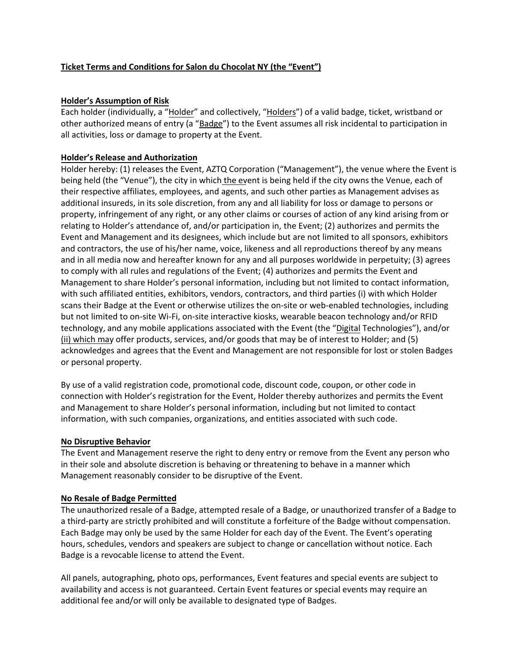## **Ticket Terms and Conditions for Salon du Chocolat NY (the "Event")**

#### **Holder's Assumption of Risk**

Each holder (individually, a "Holder" and collectively, "Holders") of a valid badge, ticket, wristband or other authorized means of entry (a "Badge") to the Event assumes all risk incidental to participation in all activities, loss or damage to property at the Event.

## **Holder's Release and Authorization**

Holder hereby: (1) releases the Event, AZTQ Corporation ("Management"), the venue where the Event is being held (the "Venue"), the city in which the event is being held if the city owns the Venue, each of their respective affiliates, employees, and agents, and such other parties as Management advises as additional insureds, in its sole discretion, from any and all liability for loss or damage to persons or property, infringement of any right, or any other claims or courses of action of any kind arising from or relating to Holder's attendance of, and/or participation in, the Event; (2) authorizes and permits the Event and Management and its designees, which include but are not limited to all sponsors, exhibitors and contractors, the use of his/her name, voice, likeness and all reproductions thereof by any means and in all media now and hereafter known for any and all purposes worldwide in perpetuity; (3) agrees to comply with all rules and regulations of the Event; (4) authorizes and permits the Event and Management to share Holder's personal information, including but not limited to contact information, with such affiliated entities, exhibitors, vendors, contractors, and third parties (i) with which Holder scans their Badge at the Event or otherwise utilizes the on-site or web-enabled technologies, including but not limited to on-site Wi-Fi, on-site interactive kiosks, wearable beacon technology and/or RFID technology, and any mobile applications associated with the Event (the "Digital Technologies"), and/or (ii) which may offer products, services, and/or goods that may be of interest to Holder; and (5) acknowledges and agrees that the Event and Management are not responsible for lost or stolen Badges or personal property.

By use of a valid registration code, promotional code, discount code, coupon, or other code in connection with Holder's registration for the Event, Holder thereby authorizes and permits the Event and Management to share Holder's personal information, including but not limited to contact information, with such companies, organizations, and entities associated with such code.

## **No Disruptive Behavior**

The Event and Management reserve the right to deny entry or remove from the Event any person who in their sole and absolute discretion is behaving or threatening to behave in a manner which Management reasonably consider to be disruptive of the Event.

## **No Resale of Badge Permitted**

The unauthorized resale of a Badge, attempted resale of a Badge, or unauthorized transfer of a Badge to a third-party are strictly prohibited and will constitute a forfeiture of the Badge without compensation. Each Badge may only be used by the same Holder for each day of the Event. The Event's operating hours, schedules, vendors and speakers are subject to change or cancellation without notice. Each Badge is a revocable license to attend the Event.

All panels, autographing, photo ops, performances, Event features and special events are subject to availability and access is not guaranteed. Certain Event features or special events may require an additional fee and/or will only be available to designated type of Badges.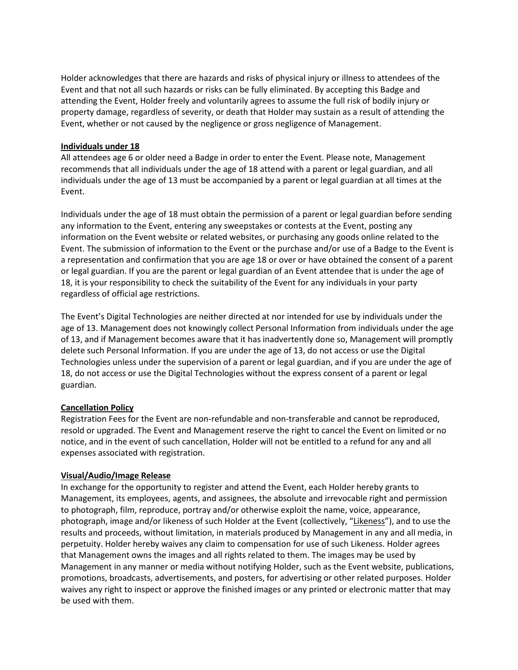Holder acknowledges that there are hazards and risks of physical injury or illness to attendees of the Event and that not all such hazards or risks can be fully eliminated. By accepting this Badge and attending the Event, Holder freely and voluntarily agrees to assume the full risk of bodily injury or property damage, regardless of severity, or death that Holder may sustain as a result of attending the Event, whether or not caused by the negligence or gross negligence of Management.

## **Individuals under 18**

All attendees age 6 or older need a Badge in order to enter the Event. Please note, Management recommends that all individuals under the age of 18 attend with a parent or legal guardian, and all individuals under the age of 13 must be accompanied by a parent or legal guardian at all times at the Event.

Individuals under the age of 18 must obtain the permission of a parent or legal guardian before sending any information to the Event, entering any sweepstakes or contests at the Event, posting any information on the Event website or related websites, or purchasing any goods online related to the Event. The submission of information to the Event or the purchase and/or use of a Badge to the Event is a representation and confirmation that you are age 18 or over or have obtained the consent of a parent or legal guardian. If you are the parent or legal guardian of an Event attendee that is under the age of 18, it is your responsibility to check the suitability of the Event for any individuals in your party regardless of official age restrictions.

The Event's Digital Technologies are neither directed at nor intended for use by individuals under the age of 13. Management does not knowingly collect Personal Information from individuals under the age of 13, and if Management becomes aware that it has inadvertently done so, Management will promptly delete such Personal Information. If you are under the age of 13, do not access or use the Digital Technologies unless under the supervision of a parent or legal guardian, and if you are under the age of 18, do not access or use the Digital Technologies without the express consent of a parent or legal guardian.

# **Cancellation Policy**

Registration Fees for the Event are non-refundable and non-transferable and cannot be reproduced, resold or upgraded. The Event and Management reserve the right to cancel the Event on limited or no notice, and in the event of such cancellation, Holder will not be entitled to a refund for any and all expenses associated with registration.

## **Visual/Audio/Image Release**

In exchange for the opportunity to register and attend the Event, each Holder hereby grants to Management, its employees, agents, and assignees, the absolute and irrevocable right and permission to photograph, film, reproduce, portray and/or otherwise exploit the name, voice, appearance, photograph, image and/or likeness of such Holder at the Event (collectively, "Likeness"), and to use the results and proceeds, without limitation, in materials produced by Management in any and all media, in perpetuity. Holder hereby waives any claim to compensation for use of such Likeness. Holder agrees that Management owns the images and all rights related to them. The images may be used by Management in any manner or media without notifying Holder, such as the Event website, publications, promotions, broadcasts, advertisements, and posters, for advertising or other related purposes. Holder waives any right to inspect or approve the finished images or any printed or electronic matter that may be used with them.